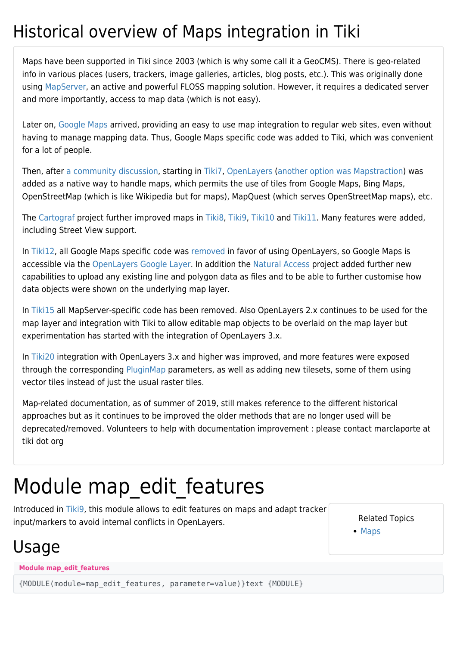#### Historical overview of Maps integration in Tiki

Maps have been supported in Tiki since 2003 (which is why some call it a GeoCMS). There is geo-related info in various places (users, trackers, image galleries, articles, blog posts, etc.). This was originally done using [MapServer](http://mapserver.org/), an active and powerful FLOSS mapping solution. However, it requires a dedicated server and more importantly, access to map data (which is not easy).

Later on, [Google Maps](http://en.wikipedia.org/wiki/Google_Maps) arrived, providing an easy to use map integration to regular web sites, even without having to manage mapping data. Thus, Google Maps specific code was added to Tiki, which was convenient for a lot of people.

Then, after [a community discussion,](http://thread.gmane.org/gmane.comp.cms.tiki.devel/19297) starting in [Tiki7,](https://doc.tiki.org/Tiki7) [OpenLayers](https://doc.tiki.org/OpenLayers) ([another option was Mapstraction](https://www.ohloh.net/p/compare?metric=Summary&project_0=Mapstraction&project_1=&project_2=OpenLayers)) was added as a native way to handle maps, which permits the use of tiles from Google Maps, Bing Maps, OpenStreetMap (which is like Wikipedia but for maps), MapQuest (which serves OpenStreetMap maps), etc.

The [Cartograf](http://profiles.tiki.org/Cartograf) project further improved maps in [Tiki8,](https://doc.tiki.org/Tiki8) [Tiki9](https://doc.tiki.org/Tiki9), [Tiki10](https://doc.tiki.org/Tiki10) and [Tiki11](https://doc.tiki.org/Tiki11). Many features were added, including Street View support.

In [Tiki12](https://doc.tiki.org/Tiki12), all Google Maps specific code was [removed](http://dev.tiki.org/item4908) in favor of using OpenLayers, so Google Maps is accessible via the [OpenLayers Google Layer](http://openlayers.org/dev/examples/google.html). In addition the [Natural Access](http://www.naturalaccess.org.uk) project added further new capabilities to upload any existing line and polygon data as files and to be able to further customise how data objects were shown on the underlying map layer.

In [Tiki15](https://doc.tiki.org/Tiki15) all MapServer-specific code has been removed. Also OpenLayers 2.x continues to be used for the map layer and integration with Tiki to allow editable map objects to be overlaid on the map layer but experimentation has started with the integration of OpenLayers 3.x.

In [Tiki20](https://doc.tiki.org/Tiki20) integration with OpenLayers 3.x and higher was improved, and more features were exposed through the corresponding [PluginMap](https://doc.tiki.org/PluginMap) parameters, as well as adding new tilesets, some of them using vector tiles instead of just the usual raster tiles.

Map-related documentation, as of summer of 2019, still makes reference to the different historical approaches but as it continues to be improved the older methods that are no longer used will be deprecated/removed. Volunteers to help with documentation improvement : please contact marclaporte at tiki dot org

# Module map edit features

Introduced in [Tiki9,](https://doc.tiki.org/Tiki9) this module allows to edit features on maps and adapt tracker input/markers to avoid internal conflicts in OpenLayers.

Related Topics

[Maps](https://doc.tiki.org/Maps)

#### Usage

**Module map\_edit\_features**

{MODULE(module=map\_edit\_features, parameter=value)}text {MODULE}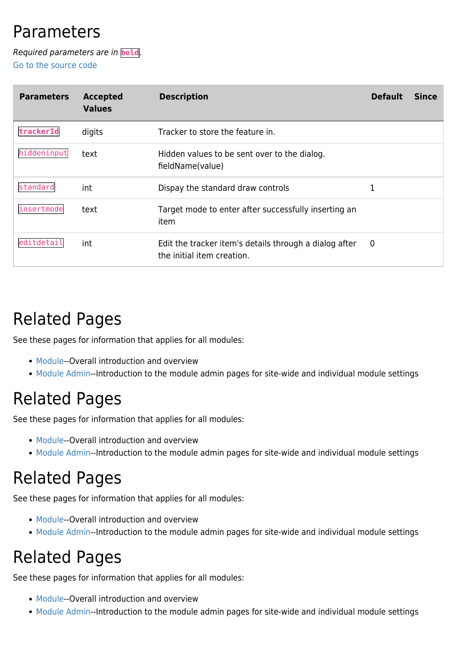#### Parameters

Required parameters are in **bold**. [Go to the source code](https://gitlab.com/tikiwiki/tiki/-/blob/master/lib/wiki-plugins/mod-func-map_edit_features.php)

| <b>Parameters</b> | <b>Accepted</b><br><b>Values</b> | <b>Description</b>                                                                   | <b>Default</b> | <b>Since</b> |
|-------------------|----------------------------------|--------------------------------------------------------------------------------------|----------------|--------------|
| trackerId         | digits                           | Tracker to store the feature in.                                                     |                |              |
| hiddeninput       | text                             | Hidden values to be sent over to the dialog.<br>fieldName(value)                     |                |              |
| standard          | int                              | Dispay the standard draw controls                                                    |                |              |
| insertmode        | text                             | Target mode to enter after successfully inserting an<br>item                         |                |              |
| editdetail        | int                              | Edit the tracker item's details through a dialog after<br>the initial item creation. | $\overline{0}$ |              |

## Related Pages

See these pages for information that applies for all modules:

- [Module](https://doc.tiki.org/Module)--Overall introduction and overview
- [Module Admin-](https://doc.tiki.org/Module-Admin)-Introduction to the module admin pages for site-wide and individual module settings

#### Related Pages

See these pages for information that applies for all modules:

- [Module](https://doc.tiki.org/Module)--Overall introduction and overview
- [Module Admin-](https://doc.tiki.org/Module-Admin)-Introduction to the module admin pages for site-wide and individual module settings

## Related Pages

See these pages for information that applies for all modules:

- [Module](https://doc.tiki.org/Module)--Overall introduction and overview
- [Module Admin-](https://doc.tiki.org/Module-Admin)-Introduction to the module admin pages for site-wide and individual module settings

## Related Pages

See these pages for information that applies for all modules:

- [Module](https://doc.tiki.org/Module)--Overall introduction and overview
- [Module Admin-](https://doc.tiki.org/Module-Admin)-Introduction to the module admin pages for site-wide and individual module settings